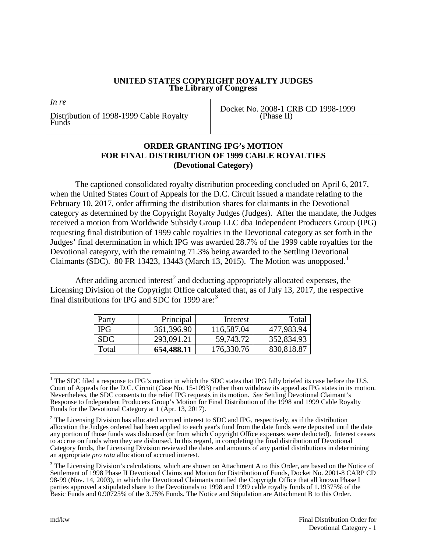### **UNITED STATES COPYRIGHT ROYALTY JUDGES The Library of Congress**

*In re* 

Distribution of 1998-1999 Cable Royalty Funds

Docket No. 2008-1 CRB CD 1998-1999 (Phase II)

### **ORDER GRANTING IPG's MOTION FOR FINAL DISTRIBUTION OF 1999 CABLE ROYALTIES (Devotional Category)**

The captioned consolidated royalty distribution proceeding concluded on April 6, 2017, when the United States Court of Appeals for the D.C. Circuit issued a mandate relating to the February 10, 2017, order affirming the distribution shares for claimants in the Devotional category as determined by the Copyright Royalty Judges (Judges). After the mandate, the Judges received a motion from Worldwide Subsidy Group LLC dba Independent Producers Group (IPG) requesting final distribution of 1999 cable royalties in the Devotional category as set forth in the Judges' final determination in which IPG was awarded 28.7% of the 1999 cable royalties for the Devotional category, with the remaining 71.3% being awarded to the Settling Devotional Claimants (SDC). 80 FR [1](#page-0-0)3423, 13443 (March 13, 2015). The Motion was unopposed.<sup>1</sup>

After adding accrued interest<sup>[2](#page-0-1)</sup> and deducting appropriately allocated expenses, the Licensing Division of the Copyright Office calculated that, as of July 13, 2017, the respective final distributions for IPG and SDC for 1999 are:<sup>[3](#page-0-2)</sup>

| Party      | Principal  | Interest   | Total      |
|------------|------------|------------|------------|
| <b>IPG</b> | 361,396.90 | 116,587.04 | 477,983.94 |
| <b>SDC</b> | 293,091.21 | 59,743.72  | 352,834.93 |
| Total      | 654,488.11 | 176,330.76 | 830,818.87 |

<span id="page-0-0"></span><sup>&</sup>lt;sup>1</sup> The SDC filed a response to IPG's motion in which the SDC states that IPG fully briefed its case before the U.S. Court of Appeals for the D.C. Circuit (Case No. 15-1093) rather than withdraw its appeal as IPG states in its motion. Nevertheless, the SDC consents to the relief IPG requests in its motion. *See* Settling Devotional Claimant's Response to Independent Producers Group's Motion for Final Distribution of the 1998 and 1999 Cable Royalty Funds for the Devotional Category at 1 (Apr. 13, 2017).

<span id="page-0-1"></span><sup>&</sup>lt;sup>2</sup> The Licensing Division has allocated accrued interest to SDC and IPG, respectively, as if the distribution allocation the Judges ordered had been applied to each year's fund from the date funds were deposited until the date any portion of those funds was disbursed (or from which Copyright Office expenses were deducted). Interest ceases to accrue on funds when they are disbursed. In this regard, in completing the final distribution of Devotional Category funds, the Licensing Division reviewed the dates and amounts of any partial distributions in determining an appropriate *pro rata* allocation of accrued interest.

<span id="page-0-2"></span><sup>&</sup>lt;sup>3</sup> The Licensing Division's calculations, which are shown on Attachment A to this Order, are based on the Notice of Settlement of 1998 Phase II Devotional Claims and Motion for Distribution of Funds, Docket No. 2001-8 CARP CD 98-99 (Nov. 14, 2003), in which the Devotional Claimants notified the Copyright Office that all known Phase I parties approved a stipulated share to the Devotionals to 1998 and 1999 cable royalty funds of 1.19375% of the Basic Funds and 0.90725% of the 3.75% Funds. The Notice and Stipulation are Attachment B to this Order.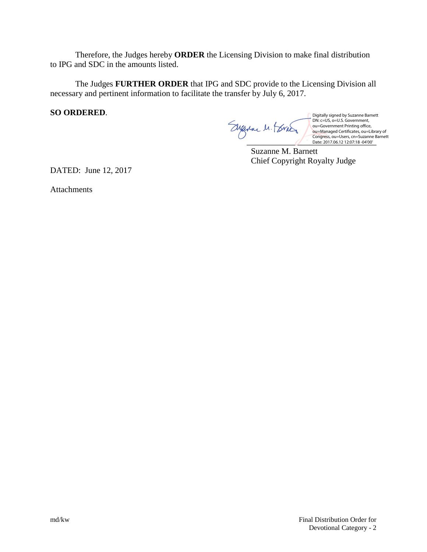Therefore, the Judges hereby **ORDER** the Licensing Division to make final distribution to IPG and SDC in the amounts listed.

The Judges **FURTHER ORDER** that IPG and SDC provide to the Licensing Division all necessary and pertinent information to facilitate the transfer by July 6, 2017.

**SO ORDERED**.

Date: 2017.06.12 12:07:18 -04'00'

Digitally signed by Suzanne Barnett<br>DN: c=US, o=U.S. Government,<br>ou=Government Printing office,<br>ou=Managed Certificates, ou=Library of<br>Congress, ou=Users, cn=Suzanne Barnett<br>Date: 2017.06.12 12:07:18 -04'00'

Suzanne M. Barnett Chief Copyright Royalty Judge

DATED: June 12, 2017

Attachments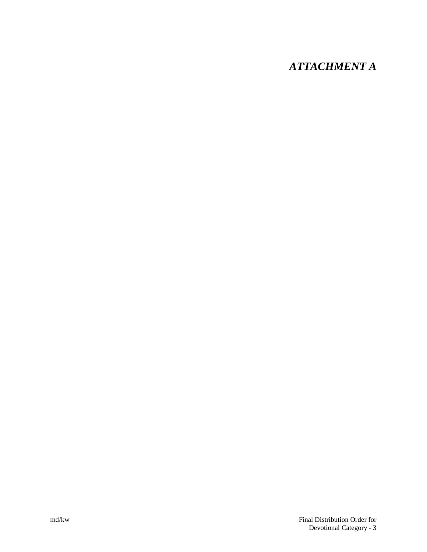# *ATTACHMENT A*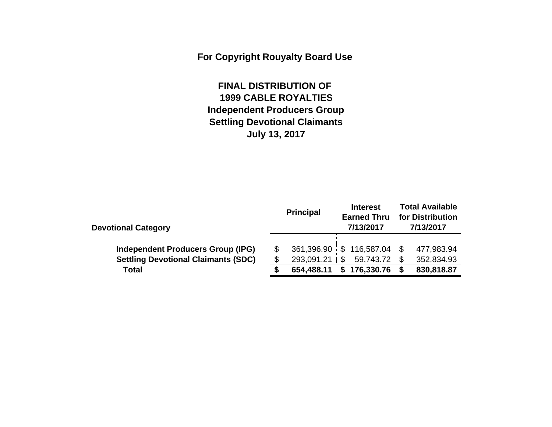**For Copyright Rouyalty Board Use** 

# **FINAL DISTRIBUTION OF 1999 CABLE ROYALTIES Independent Producers Group Settling Devotional Claimants July 13, 2017**

|                                                                                        | <b>Principal</b>     | <b>Interest</b><br><b>Earned Thru</b><br>7/13/2017 | <b>Total Available</b><br>for Distribution<br>7/13/2017 |  |  |  |  |
|----------------------------------------------------------------------------------------|----------------------|----------------------------------------------------|---------------------------------------------------------|--|--|--|--|
| <b>Devotional Category</b>                                                             |                      | $361,396.90$ \$ 116,587.04 \$                      | 477,983.94                                              |  |  |  |  |
| <b>Independent Producers Group (IPG)</b><br><b>Settling Devotional Claimants (SDC)</b> | $293,091.21 \mid$ \$ | $59,743.72$   \$                                   | 352,834.93                                              |  |  |  |  |
| <b>Total</b>                                                                           | 654,488.11           | \$176,330.76                                       | 830,818.87                                              |  |  |  |  |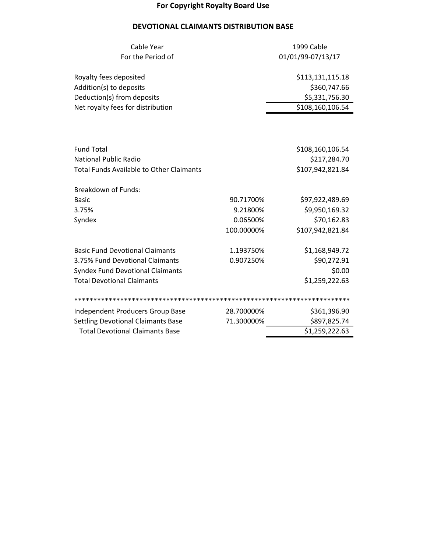## **For Copyright Royalty Board Use**

## **DEVOTIONAL CLAIMANTS DISTRIBUTION BASE**

| Cable Year                                      | 1999 Cable |                   |  |  |  |  |  |
|-------------------------------------------------|------------|-------------------|--|--|--|--|--|
| For the Period of                               |            | 01/01/99-07/13/17 |  |  |  |  |  |
|                                                 |            |                   |  |  |  |  |  |
| Royalty fees deposited                          |            | \$113,131,115.18  |  |  |  |  |  |
| Addition(s) to deposits                         |            | \$360,747.66      |  |  |  |  |  |
| Deduction(s) from deposits                      |            | \$5,331,756.30    |  |  |  |  |  |
| Net royalty fees for distribution               |            | \$108,160,106.54  |  |  |  |  |  |
|                                                 |            |                   |  |  |  |  |  |
|                                                 |            |                   |  |  |  |  |  |
|                                                 |            |                   |  |  |  |  |  |
| <b>Fund Total</b>                               |            | \$108,160,106.54  |  |  |  |  |  |
| <b>National Public Radio</b>                    |            | \$217,284.70      |  |  |  |  |  |
| <b>Total Funds Available to Other Claimants</b> |            | \$107,942,821.84  |  |  |  |  |  |
| <b>Breakdown of Funds:</b>                      |            |                   |  |  |  |  |  |
| <b>Basic</b>                                    | 90.71700%  | \$97,922,489.69   |  |  |  |  |  |
| 3.75%                                           | 9.21800%   | \$9,950,169.32    |  |  |  |  |  |
| Syndex                                          | 0.06500%   | \$70,162.83       |  |  |  |  |  |
|                                                 | 100.00000% | \$107,942,821.84  |  |  |  |  |  |
|                                                 |            |                   |  |  |  |  |  |
| <b>Basic Fund Devotional Claimants</b>          | 1.193750%  | \$1,168,949.72    |  |  |  |  |  |
| 3.75% Fund Devotional Claimants                 | 0.907250%  | \$90,272.91       |  |  |  |  |  |
| <b>Syndex Fund Devotional Claimants</b>         |            | \$0.00            |  |  |  |  |  |
| <b>Total Devotional Claimants</b>               |            | \$1,259,222.63    |  |  |  |  |  |
|                                                 |            |                   |  |  |  |  |  |
| Independent Producers Group Base                | 28.700000% | \$361,396.90      |  |  |  |  |  |
| <b>Settling Devotional Claimants Base</b>       | 71.300000% | \$897,825.74      |  |  |  |  |  |
| <b>Total Devotional Claimants Base</b>          |            | \$1,259,222.63    |  |  |  |  |  |
|                                                 |            |                   |  |  |  |  |  |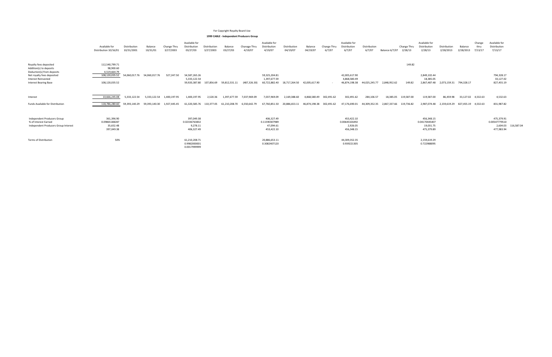|                                                                                             | Available for<br>Distribution 10/16/01                 | Distribution<br>10/31/2001 | Balance<br>10/31/01 | Change Thru<br>3/27/2003 | Available for<br>Distribution<br>03/27/03             | Distribution<br>3/27/2003 | Balance<br>03/27/03 | Chanage Thru<br>4/19/07 | Available for<br>Distribution<br>4/19/07               | Distribution<br>04/19/07 | Balance<br>04/19/07 | Change Thru<br>6/7/07 | Available for<br>Distribution<br>6/7/07               | Distribution<br>6/7/07 | <b>Balance 6/7/07</b> | Change Thru<br>2/28/13 | Available for<br>Distribution<br>2/28/13               | Distribution<br>2/28/2013 | Balance<br>2/28/2013 | Change<br>thru<br>7/13/17 | Available for<br>Distribution<br>7/13/17              |            |
|---------------------------------------------------------------------------------------------|--------------------------------------------------------|----------------------------|---------------------|--------------------------|-------------------------------------------------------|---------------------------|---------------------|-------------------------|--------------------------------------------------------|--------------------------|---------------------|-----------------------|-------------------------------------------------------|------------------------|-----------------------|------------------------|--------------------------------------------------------|---------------------------|----------------------|---------------------------|-------------------------------------------------------|------------|
| Royalty fees deposited<br>Addition(s) to deposits<br>Deduction(s) from deposits             | 112,540,799.71<br>98,900.60<br>4,519,664.79            |                            |                     |                          |                                                       |                           |                     |                         |                                                        |                          |                     |                       |                                                       |                        |                       | 149.82                 |                                                        |                           |                      |                           |                                                       |            |
| Net royalty fees deposited<br><b>Interest Reinvested</b><br><b>Interest Bearing Base</b>    | 108,120,035.52<br>108,120,035.52                       | 54,060,017.76              | 54,060,017.76       | 527,247.50               | 54,587,265.26<br>5,333,122.54<br>59,920,387.80        | 107.856.69                | 59,812,531.11       | (487, 326.30)           | 59,325,204.81<br>1,397,677.59<br>60,722,882.40         | 18,717,264.50            | 42,005,617.90       |                       | 42,005,617.90<br>4,868,580.49<br>46,874,198.38        | 44,025,245.77          | 2,848,952.62          | 149.82                 | 2,849,102.44<br>18,385.05<br>2,867,487.48              | 2,073,159.31              | 794,328.17           |                           | 794,328.17<br>33,127.02<br>827,455.19                 |            |
| Interest                                                                                    | 10,666,245.08                                          | 5,333,122.54               | 5,333,122.54        | 1,400,197.95             | 1.400.197.95                                          | 2,520.36                  | 1,397,677.59        | 7,037,969.09            | 7,037,969.09                                           | 2,169,388.60             | 4.868.580.49        | 302,491.62            | 302,491.62                                            | 284,106.57             | 18,385.05             | 119,587.00             | 119,587.00                                             | 86,459.98                 | 33,127.02 4,532.63   |                           | 4,532.63                                              |            |
| Funds Available for Distribution                                                            | 118,786,280.60                                         | 59.393.140.29              | 59,393,140.30       | 1,927,445.45             | 61,320,585.76                                         | 110,377.05                | 61,210,208.70       | 6,550,642.79            | 67,760,851.50                                          | 20,886,653.11            | 46,874,198.38       | 302,491.62            | 47.176.690.01                                         | 44.309.352.35          | 2.867.337.66          | 119,736.82             | 2,987,074.48                                           | 2,159,619.29              | 827,455.19 4,532.63  |                           | 831,987.82                                            |            |
| Independent Producers Group<br>% of Interest Earned<br>Independent Producers Group Interest | 361,396.90<br>0.09865188287<br>35,652.48<br>397,049.38 |                            |                     |                          | 397,049.38<br>0.02336763832<br>9,278.11<br>406,327.49 |                           |                     |                         | 406,327.49<br>0.11590307989<br>47,094.61<br>453,422.10 |                          |                     |                       | 453,422.10<br>0.00645326492<br>2,926.05<br>456,348.15 |                        |                       |                        | 456,348.15<br>0.04170445407<br>19,031.75<br>475,379.89 |                           |                      |                           | 475,379.91<br>0.00547779510<br>2,604.03<br>477,983.94 | 116,587.04 |
| Terms of Distribution                                                                       | 50%                                                    |                            |                     |                          | 61,210,208.71<br>0.9982000001<br>0.0017999999         |                           |                     |                         | 20,886,653.11<br>0.3082407120                          |                          |                     |                       | 44,309,352.35<br>0.939221305                          |                        |                       |                        | 2,159,619.29<br>0.722988095                            |                           |                      |                           |                                                       |            |

#### For Copyright Royalty Board Use

#### **1999 CABLE ‐ Independent Producers Group**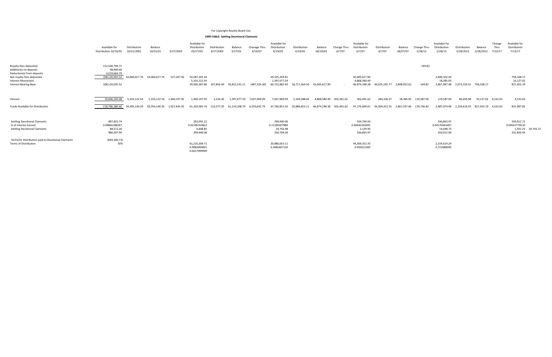|                                                                                                                 | Available for<br>Distribution 10/16/01           | Distribution<br>10/31/2001 | Balance<br>10/31/01 | 3/27/2003    | Available for<br>Distribution<br>03/27/03      | Distribution<br>3/27/2003 | Balance<br>3/27/03 | Chanage Thru<br>4/19/07 | Available for<br>Distribution<br>4/19/03       | Distribution<br>4/19/03 | Balance<br>04/19/03 | Change Thru<br>6/7/07 | Available for<br>Distribution<br>6/7/07        | Distribution<br>6/7/07 | Balance<br>06/07/07 | Change Thru<br>2/28/13 | Available for<br>Distribution<br>2/28/13  | Distribution<br>2/28/2013 | Balance<br>2/28/2013 | Change<br>Thru<br>7/13/17 | Available for<br>Distribution<br>7/13/17          |
|-----------------------------------------------------------------------------------------------------------------|--------------------------------------------------|----------------------------|---------------------|--------------|------------------------------------------------|---------------------------|--------------------|-------------------------|------------------------------------------------|-------------------------|---------------------|-----------------------|------------------------------------------------|------------------------|---------------------|------------------------|-------------------------------------------|---------------------------|----------------------|---------------------------|---------------------------------------------------|
| Royalty fees deposited<br>Addition(s) to deposits                                                               | 112,540,799.71<br>98,900.60                      |                            |                     |              |                                                |                           |                    |                         |                                                |                         |                     |                       |                                                |                        |                     | 149.82                 |                                           |                           |                      |                           |                                                   |
| Deduction(s) from deposits<br>Net royalty fees deposited<br>Interest Reinvested<br><b>Interest Bearing Base</b> | 4,519,664.79<br>108,120,035.52<br>108,120,035.52 | 54,060,017.76              | 54,060,017.76       | 527,247.50   | 54,587,265.26<br>5,333,122.54<br>59,920,387.80 | 107.856.69                | 59,812,531.11      | (487, 326.30)           | 59,325,204.81<br>1,397,677.59<br>60,722,882.40 | 18.717.264.50           | 42,005,617.90       |                       | 42,005,617.90<br>4.868.580.49<br>46,874,198.38 | 44,025,245.77          | 2,848,952.62        | 149.82                 | 2,849,102.44<br>18,385.05<br>2,867,487.48 | 2,073,159.31              | 794,328.17           |                           | 794,328.17<br>33,127.02<br>827,455.19             |
| Interest                                                                                                        | 10,666,245.08                                    | 5,333,122.54               | 5,333,122.54        | 1,400,197.95 | 1,400,197.95                                   | 2,520.36                  | 1,397,677.59       | 7,037,969.09            | 7,037,969.09                                   | 2.169.388.60            | 4.868.580.49        | 302,491.62            | 302,491.62                                     | 284,106.57             | 18,385.05           | 119,587.00             | 119,587.00                                | 86,459.98                 | 33,127.02 4,532.63   |                           | 4,532.63                                          |
| Funds Available for Distribution                                                                                | 118,786,280.60                                   | 59,393,140.29              | 59,393,140.30       | 1.927.445.45 | 61,320,585.76                                  | 110,377.05                | 61,210,208.70      | 6,550,642.79            | 67,760,851.50                                  | 20,886,653.11           | 46.874.198.38       | 302,491.62            | 47,176,690.01                                  | 44,309,352.35          | 2,867,337.66        | 119,736.82             | 2.987.074.48                              | 2,159,619.29              | 827,455.19 4,532.63  |                           | 831,987.82                                        |
| <b>Settling Devotional Claimants</b>                                                                            | 897,825.74                                       |                            |                     |              | 293,091.21                                     |                           |                    |                         | 299,940.06                                     |                         |                     |                       | 334,704.04                                     |                        |                     |                        | 336,863.97                                |                           |                      |                           | 350,912.71                                        |
| % of Interest Earned<br><b>Settling Devotional Claimants</b>                                                    | 0.09865188287<br>88,572.20<br>986,397.94         |                            |                     |              | 0.02336763832<br>6,848.85<br>299,940.06        |                           |                    |                         | 0.11590307989<br>34,763.98<br>334,704.04       |                         |                     |                       | 0.00645326492<br>2,159.93<br>336,863.97        |                        |                     |                        | 0.04170445407<br>14,048.73<br>350,912.69  |                           |                      |                           | 0.00547779510<br>1,922.23 59,743.72<br>352,834.93 |
| 10/31/01 Distribution paid to Devotional Claimants                                                              | (693, 306.73)                                    |                            |                     |              |                                                |                           |                    |                         |                                                |                         |                     |                       |                                                |                        |                     |                        |                                           |                           |                      |                           |                                                   |
| Terms of Distribution                                                                                           | 50%                                              |                            |                     |              | 61,210,208.71<br>0.9982000001<br>0.0017999999  |                           |                    |                         | 20,886,653.11<br>0.3082407120                  |                         |                     |                       | 44,309,352.35<br>0.939221305                   |                        |                     |                        | 2,159,619.29<br>0.722988095               |                           |                      |                           |                                                   |

#### For Copyright Royalty Board Use

#### **1999 CABLE‐ Settling Devotional Claimants**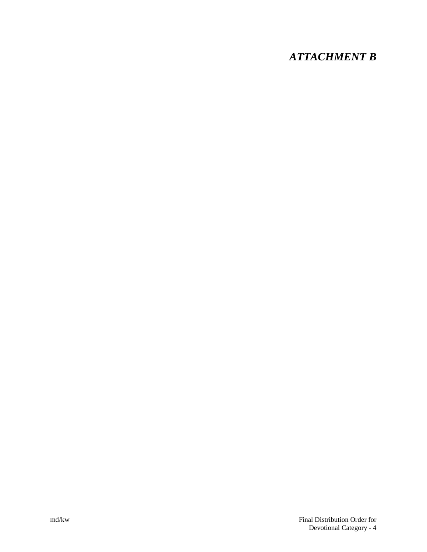# *ATTACHMENT B*